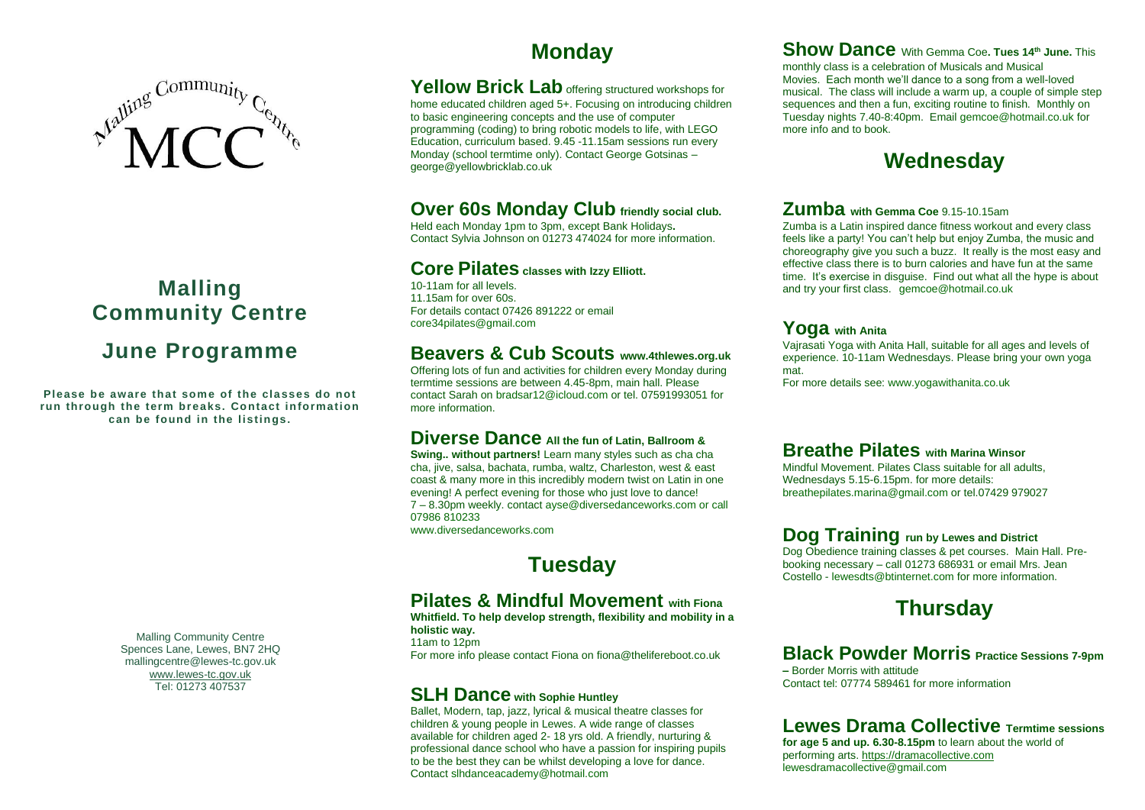

# **Malling Community Centre June Programme**

Please be aware that some of the classes do not **run through the term breaks. Contact information can be found in the listings.** 

> Malling Community Centre Spences Lane, Lewes, BN7 2HQ mallingcentre@lewes-tc.gov.uk [www.lewes-tc.gov.uk](http://www.lewes-tc.gov.uk/) Tel: 01273 407537

### **Monday**

Yellow Brick Lab offering structured workshops for home educated children aged 5+. Focusing on introducing children to basic engineering concepts and the use of computer programming (coding) to bring robotic models to life, with LEGO Education, curriculum based. 9.45 -11.15am sessions run every Monday (school termtime only). Contact George Gotsinas – george@yellowbricklab.co.uk

#### **Over 60s Monday Club friendly social club.**

Held each Monday 1pm to 3pm, except Bank Holidays**.**  Contact Sylvia Johnson on 01273 474024 for more information.

#### **Core Pilates classes with Izzy Elliott.**

10-11am for all levels. 11.15am for over 60s. For details contact 07426 891222 or email core34pilates@gmail.com

#### **Beavers & Cub Scouts www.4thlewes.org.uk**

Offering lots of fun and activities for children every Monday during termtime sessions are between 4.45-8pm, main hall. Please contact Sarah on bradsar12@icloud.com or tel. 07591993051 for more information.

#### **Diverse Dance All the fun of Latin, Ballroom &**

**Swing.. without partners!** Learn many styles such as cha cha cha, jive, salsa, bachata, rumba, waltz, Charleston, west & east coast & many more in this incredibly modern twist on Latin in one evening! A perfect evening for those who just love to dance! 7 – 8.30pm weekly. contact ayse@diversedanceworks.com or call 07986 810233 www.diversedanceworks.com

**Tuesday**

### **Pilates & Mindful Movement with Fiona**

**Whitfield. To help develop strength, flexibility and mobility in a holistic way.** 

11am to 12pm For more info please contact Fiona on fiona@thelifereboot.co.uk

#### **SLH Dance with Sophie Huntley**

Ballet, Modern, tap, jazz, lyrical & musical theatre classes for children & young people in Lewes. A wide range of classes available for children aged 2- 18 yrs old. A friendly, nurturing & professional dance school who have a passion for inspiring pupils to be the best they can be whilst developing a love for dance. Contact slhdanceacademy@hotmail.com

**Show Dance** With Gemma Coe**. Tues 14th June.** This monthly class is a celebration of Musicals and Musical Movies. Each month we'll dance to a song from a well-loved

musical. The class will include a warm up, a couple of simple step sequences and then a fun, exciting routine to finish. Monthly on Tuesday nights 7.40-8:40pm. Email gemcoe@hotmail.co.uk for more info and to book.

### **Wednesday**

#### **Zumba with Gemma Coe** 9.15-10.15am

Zumba is a Latin inspired dance fitness workout and every class feels like a party! You can't help but enjoy Zumba, the music and choreography give you such a buzz. It really is the most easy and effective class there is to burn calories and have fun at the same time. It's exercise in disguise. Find out what all the hype is about and try your first class. gemcoe@hotmail.co.uk

#### **Yoga with Anita**

Vajrasati Yoga with Anita Hall, suitable for all ages and levels of experience. 10-11am Wednesdays. Please bring your own yoga mat.

For more details see: www.yogawithanita.co.uk

#### **Breathe Pilates with Marina Winsor**

Mindful Movement. Pilates Class suitable for all adults, Wednesdays 5.15-6.15pm. for more details: breathepilates.marina@gmail.com or tel.07429 979027

#### **Dog Training run by Lewes and District**

Dog Obedience training classes & pet courses. Main Hall. Prebooking necessary – call 01273 686931 or email Mrs. Jean Costello - lewesdts@btinternet.com for more information.

## **Thursday**

#### **Black Powder Morris Practice Sessions 7-9pm**

**–** Border Morris with attitude Contact tel: 07774 589461 for more information

#### **Lewes Drama Collective Termtime sessions**

**for age 5 and up. 6.30-8.15pm** to learn about the world of performing arts[. https://dramacollective.com](https://dramacollective.com/) lewesdramacollective@gmail.com